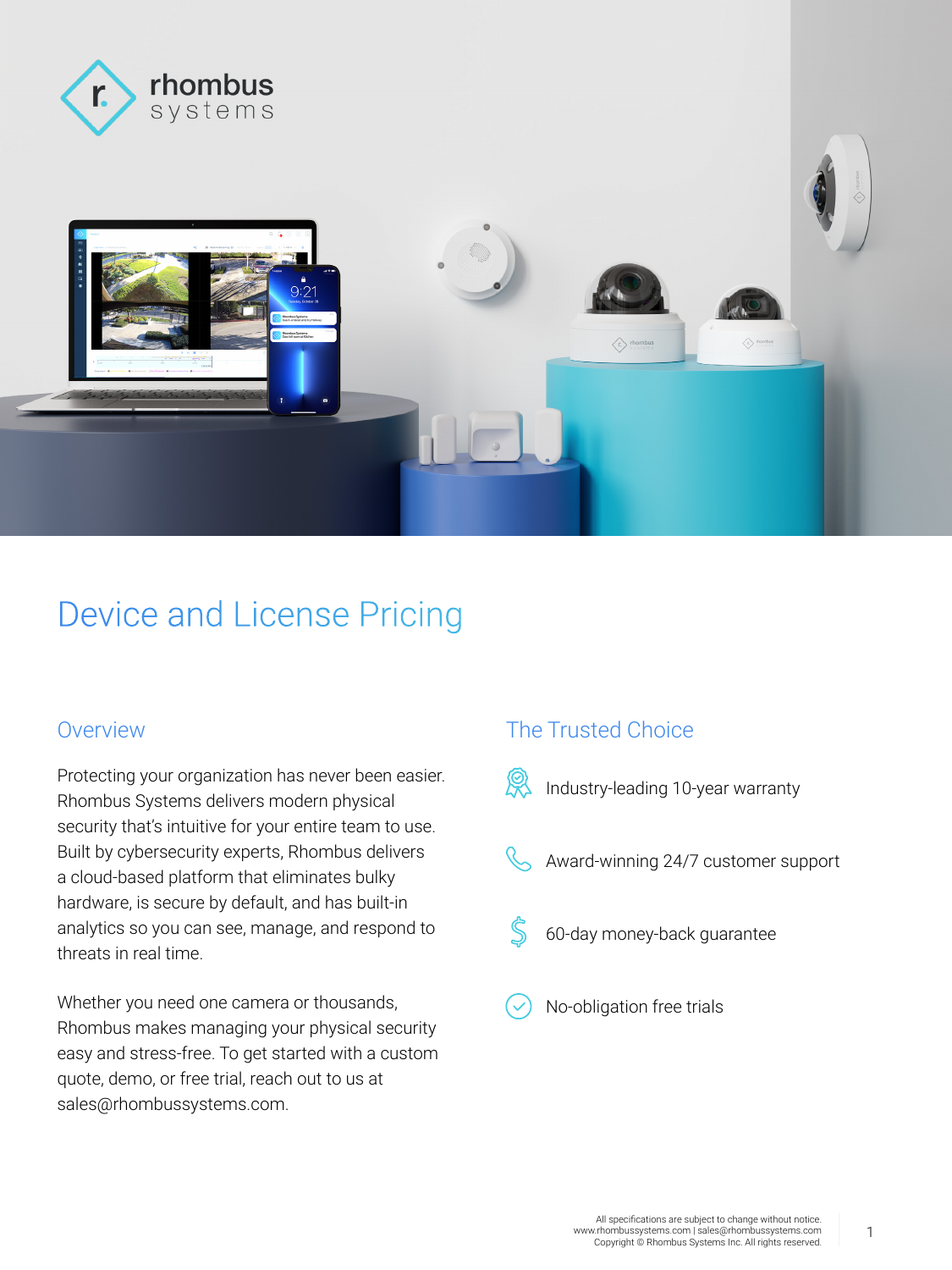



# Device and License Pricing

Protecting your organization has never been easier. Rhombus Systems delivers modern physical security that's intuitive for your entire team to use. Built by cybersecurity experts, Rhombus delivers a cloud-based platform that eliminates bulky hardware, is secure by default, and has built-in analytics so you can see, manage, and respond to threats in real time.

Whether you need one camera or thousands, Rhombus makes managing your physical security easy and stress-free. To get started with a custom quote, demo, or free trial, reach out to us at sales@rhombussystems.com.

#### Overview **The Trusted Choice**



Industry-leading 10-year warranty

- Award-winning 24/7 customer support
- 60-day money-back guarantee
- No-obligation free trials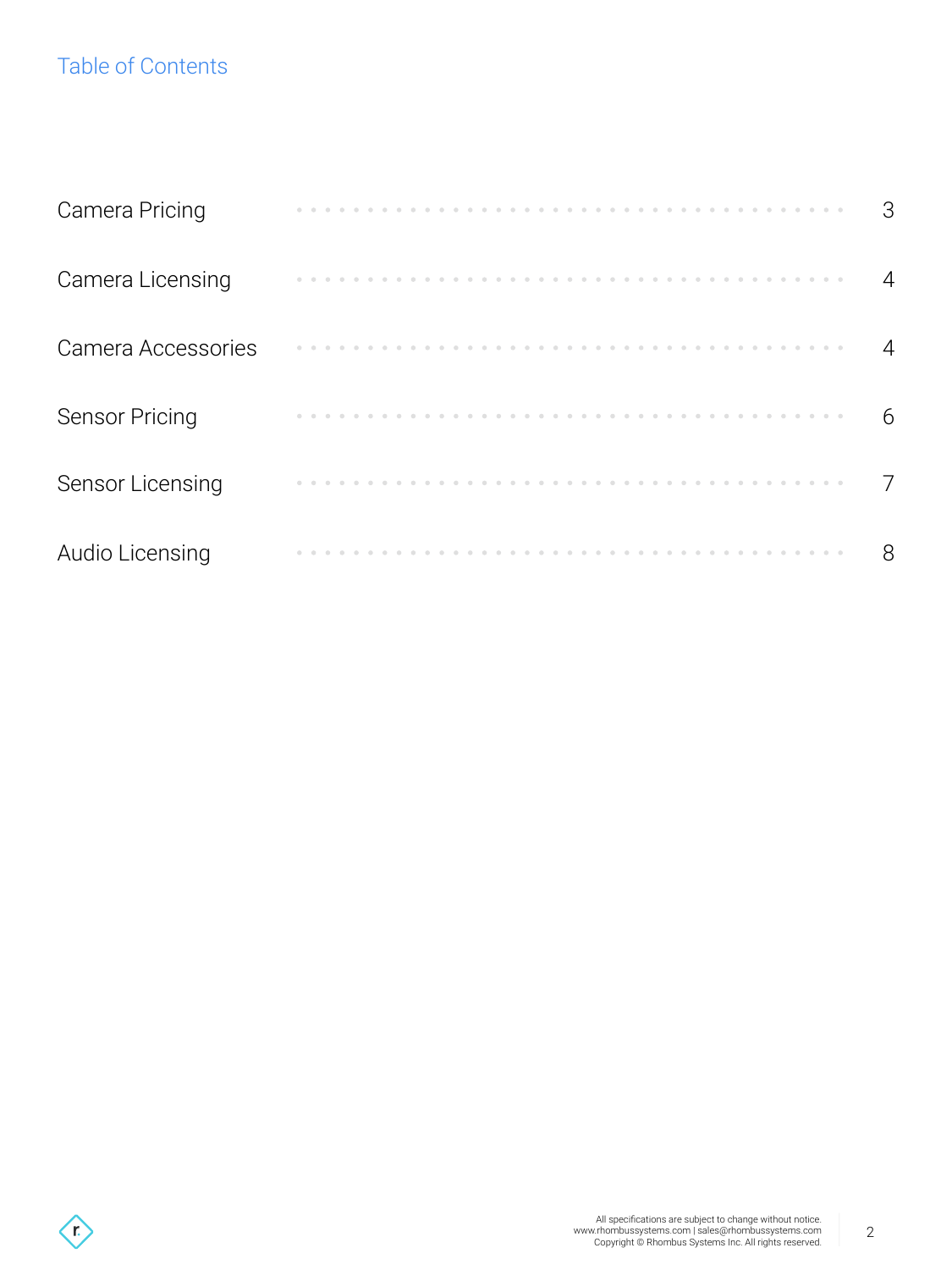# Table of Contents

| <b>Camera Pricing</b> |  |  |  |  |  |  |  |  |  |  |  |  |  |  |  | 3 |
|-----------------------|--|--|--|--|--|--|--|--|--|--|--|--|--|--|--|---|
| Camera Licensing      |  |  |  |  |  |  |  |  |  |  |  |  |  |  |  | 4 |
| Camera Accessories    |  |  |  |  |  |  |  |  |  |  |  |  |  |  |  | 4 |
| <b>Sensor Pricing</b> |  |  |  |  |  |  |  |  |  |  |  |  |  |  |  | 6 |
| Sensor Licensing      |  |  |  |  |  |  |  |  |  |  |  |  |  |  |  | 7 |
| Audio Licensing       |  |  |  |  |  |  |  |  |  |  |  |  |  |  |  | 8 |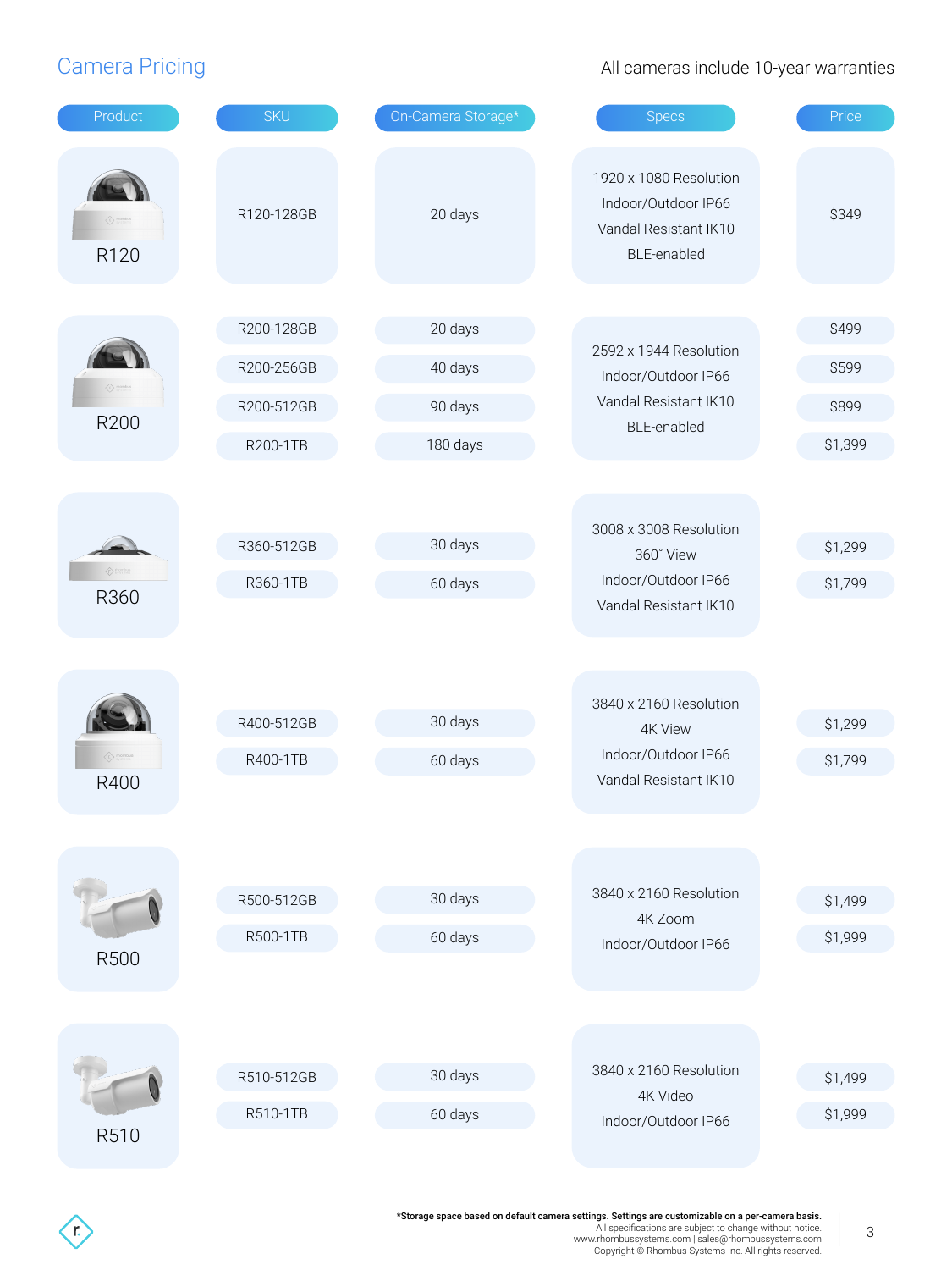$\left\langle \mathbf{r} \right\rangle$ 

#### Camera Pricing **Camera 2018** Cameras include 10-year warranties

| Product                             | <b>SKU</b> | On-Camera Storage* | <b>Specs</b>                                                                          | Price   |
|-------------------------------------|------------|--------------------|---------------------------------------------------------------------------------------|---------|
| $\langle t \rangle$ thombus<br>R120 | R120-128GB | 20 days            | 1920 x 1080 Resolution<br>Indoor/Outdoor IP66<br>Vandal Resistant IK10<br>BLE-enabled | \$349   |
|                                     |            |                    |                                                                                       |         |
|                                     | R200-128GB | 20 days            | 2592 x 1944 Resolution                                                                | \$499   |
|                                     | R200-256GB | 40 days            | Indoor/Outdoor IP66                                                                   | \$599   |
| R200                                | R200-512GB | 90 days            | Vandal Resistant IK10                                                                 | \$899   |
|                                     | R200-1TB   | 180 days           | BLE-enabled                                                                           | \$1,399 |
|                                     |            |                    |                                                                                       |         |
|                                     |            |                    | 3008 x 3008 Resolution                                                                |         |
|                                     | R360-512GB | 30 days            | 360° View                                                                             | \$1,299 |
| ty system<br>R360                   | R360-1TB   | 60 days            | Indoor/Outdoor IP66                                                                   | \$1,799 |
|                                     |            |                    | Vandal Resistant IK10                                                                 |         |
|                                     |            |                    |                                                                                       |         |
|                                     |            |                    |                                                                                       |         |
|                                     | R400-512GB | 30 days            | 3840 x 2160 Resolution<br><b>4K View</b>                                              | \$1,299 |
| (r) mombus                          | R400-1TB   | 60 days            | Indoor/Outdoor IP66                                                                   | \$1,799 |
| R400                                |            |                    | Vandal Resistant IK10                                                                 |         |
|                                     |            |                    |                                                                                       |         |
|                                     |            |                    |                                                                                       |         |
|                                     | R500-512GB | 30 days            | 3840 x 2160 Resolution                                                                | \$1,499 |
|                                     | R500-1TB   | 60 days            | 4K Zoom<br>Indoor/Outdoor IP66                                                        | \$1,999 |
| R500                                |            |                    |                                                                                       |         |
|                                     |            |                    |                                                                                       |         |
|                                     |            |                    |                                                                                       |         |
|                                     | R510-512GB | 30 days            | 3840 x 2160 Resolution                                                                | \$1,499 |
|                                     | R510-1TB   | 60 days            | 4K Video                                                                              | \$1,999 |
| R510                                |            |                    | Indoor/Outdoor IP66                                                                   |         |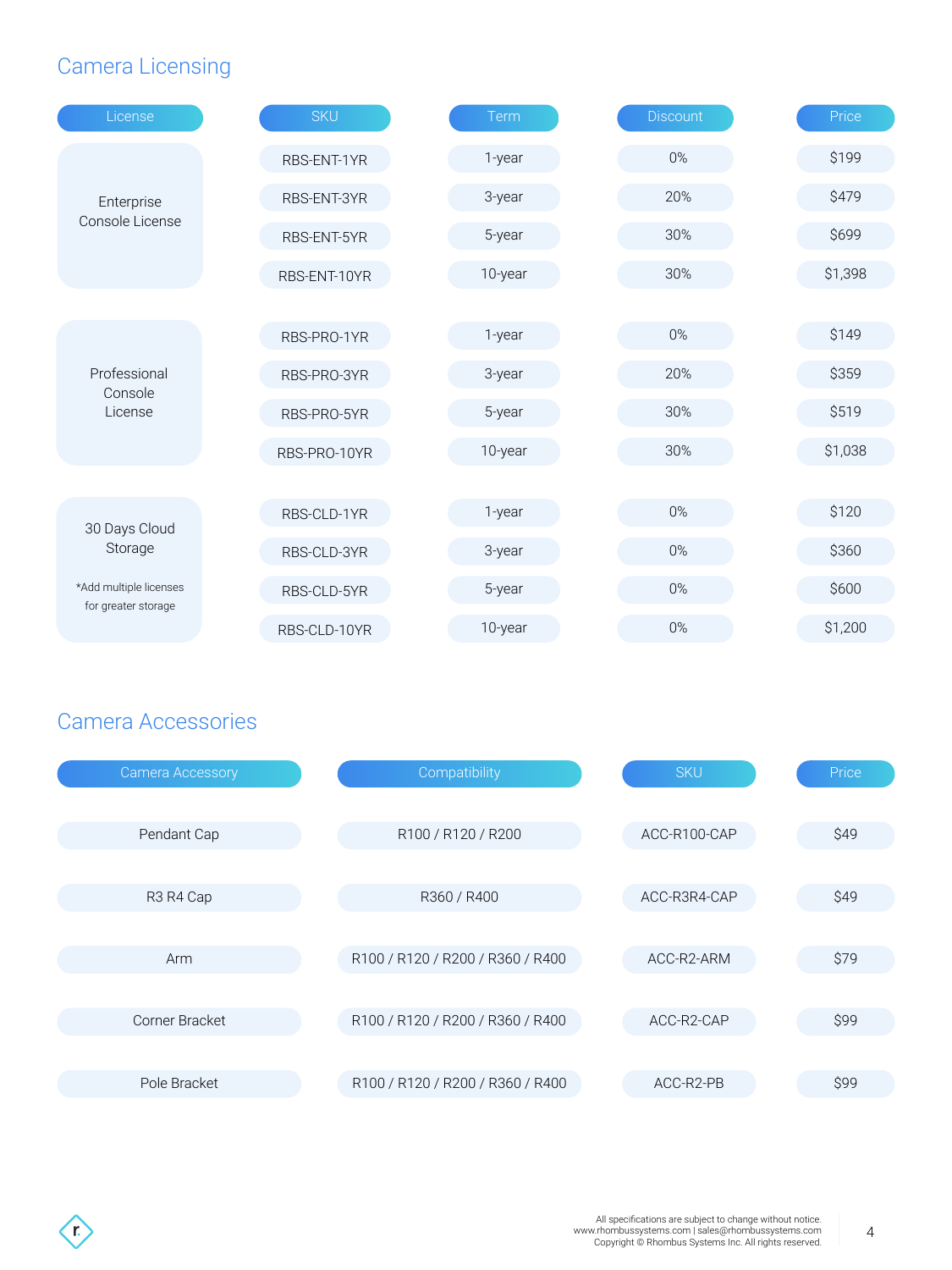## Camera Licensing

| License                                       | <b>SKU</b>   | Term                             | Discount     | Price   |
|-----------------------------------------------|--------------|----------------------------------|--------------|---------|
|                                               | RBS-ENT-1YR  | 1-year                           | $0\%$        | \$199   |
| Enterprise                                    | RBS-ENT-3YR  | 3-year                           | 20%          | \$479   |
| Console License                               | RBS-ENT-5YR  | 5-year                           | 30%          | \$699   |
|                                               | RBS-ENT-10YR | 10-year                          | 30%          | \$1,398 |
|                                               |              |                                  |              |         |
|                                               | RBS-PRO-1YR  | 1-year                           | $0\%$        | \$149   |
| Professional<br>Console                       | RBS-PRO-3YR  | 3-year                           | 20%          | \$359   |
| License                                       | RBS-PRO-5YR  | 5-year                           | 30%          | \$519   |
|                                               | RBS-PRO-10YR | 10-year                          | 30%          | \$1,038 |
|                                               | RBS-CLD-1YR  | 1-year                           | $0\%$        | \$120   |
| 30 Days Cloud<br>Storage                      |              |                                  | $0\%$        | \$360   |
|                                               | RBS-CLD-3YR  | 3-year                           |              |         |
| *Add multiple licenses<br>for greater storage | RBS-CLD-5YR  | 5-year                           | $0\%$        | \$600   |
|                                               | RBS-CLD-10YR | 10-year                          | $0\%$        | \$1,200 |
|                                               |              |                                  |              |         |
| <b>Camera Accessories</b>                     |              |                                  |              |         |
|                                               |              |                                  |              |         |
| <b>Camera Accessory</b>                       |              | Compatibility                    | <b>SKU</b>   | Price   |
| Pendant Cap                                   |              | R100 / R120 / R200               | ACC-R100-CAP | \$49    |
|                                               |              |                                  |              |         |
| R3 R4 Cap                                     |              | R360 / R400                      | ACC-R3R4-CAP | \$49    |
|                                               |              |                                  |              |         |
| Arm                                           |              | R100 / R120 / R200 / R360 / R400 | ACC-R2-ARM   | \$79    |
|                                               |              |                                  |              |         |
|                                               |              |                                  |              |         |
| Corner Bracket                                |              | R100 / R120 / R200 / R360 / R400 | ACC-R2-CAP   | \$99    |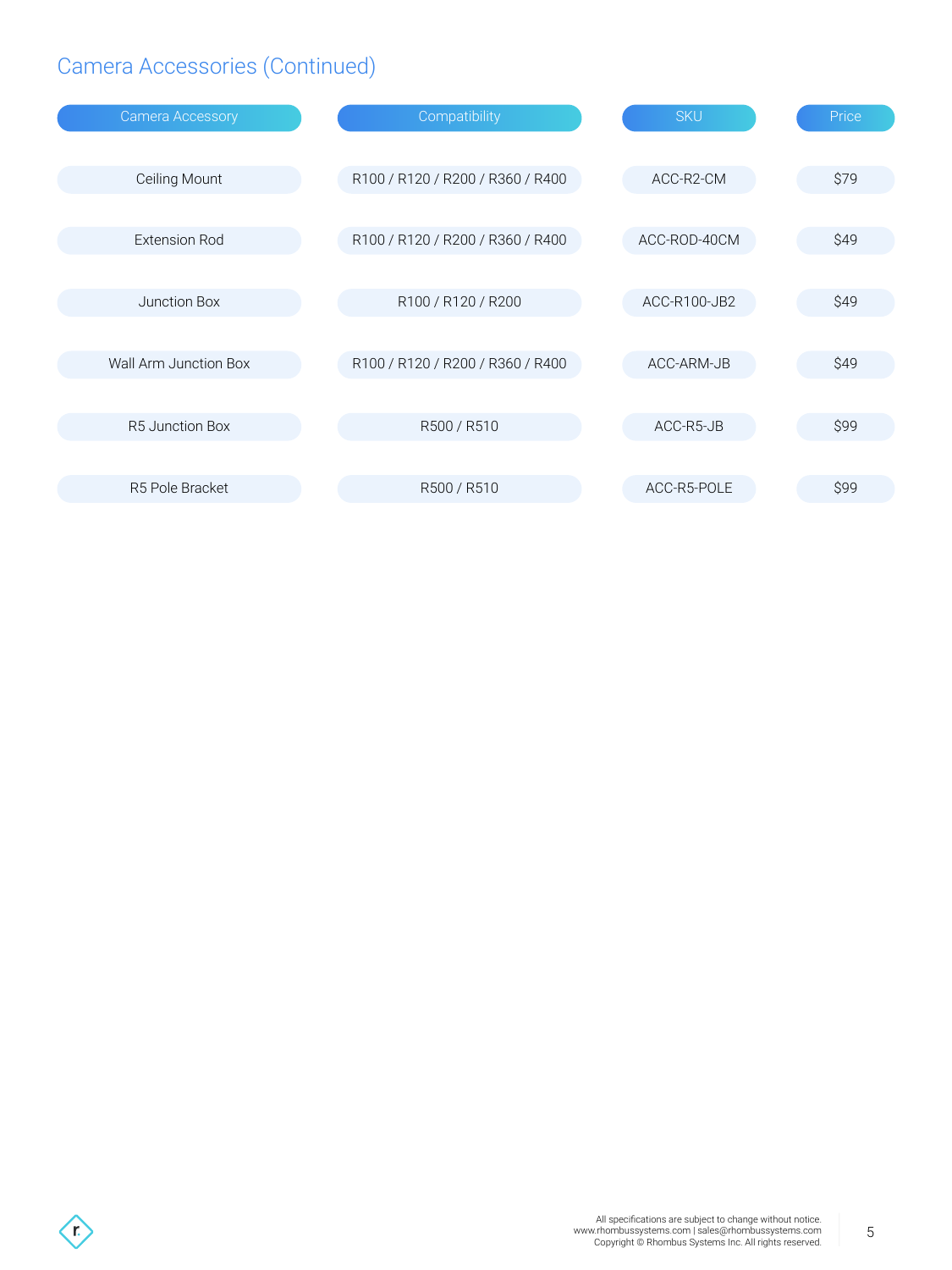## Camera Accessories (Continued)

| <b>Camera Accessory</b> | Compatibility                    | <b>SKU</b>   | Price |
|-------------------------|----------------------------------|--------------|-------|
|                         |                                  |              |       |
| Ceiling Mount           | R100 / R120 / R200 / R360 / R400 | ACC-R2-CM    | \$79  |
| <b>Extension Rod</b>    |                                  | ACC-ROD-40CM | \$49  |
|                         | R100 / R120 / R200 / R360 / R400 |              |       |
| Junction Box            | R100 / R120 / R200               | ACC-R100-JB2 | \$49  |
|                         |                                  |              |       |
| Wall Arm Junction Box   | R100 / R120 / R200 / R360 / R400 | ACC-ARM-JB   | \$49  |
|                         |                                  |              |       |
| <b>R5 Junction Box</b>  | R500 / R510                      | ACC-R5-JB    | \$99  |
|                         |                                  |              |       |
| R5 Pole Bracket         | R500 / R510                      | ACC-R5-POLE  | \$99  |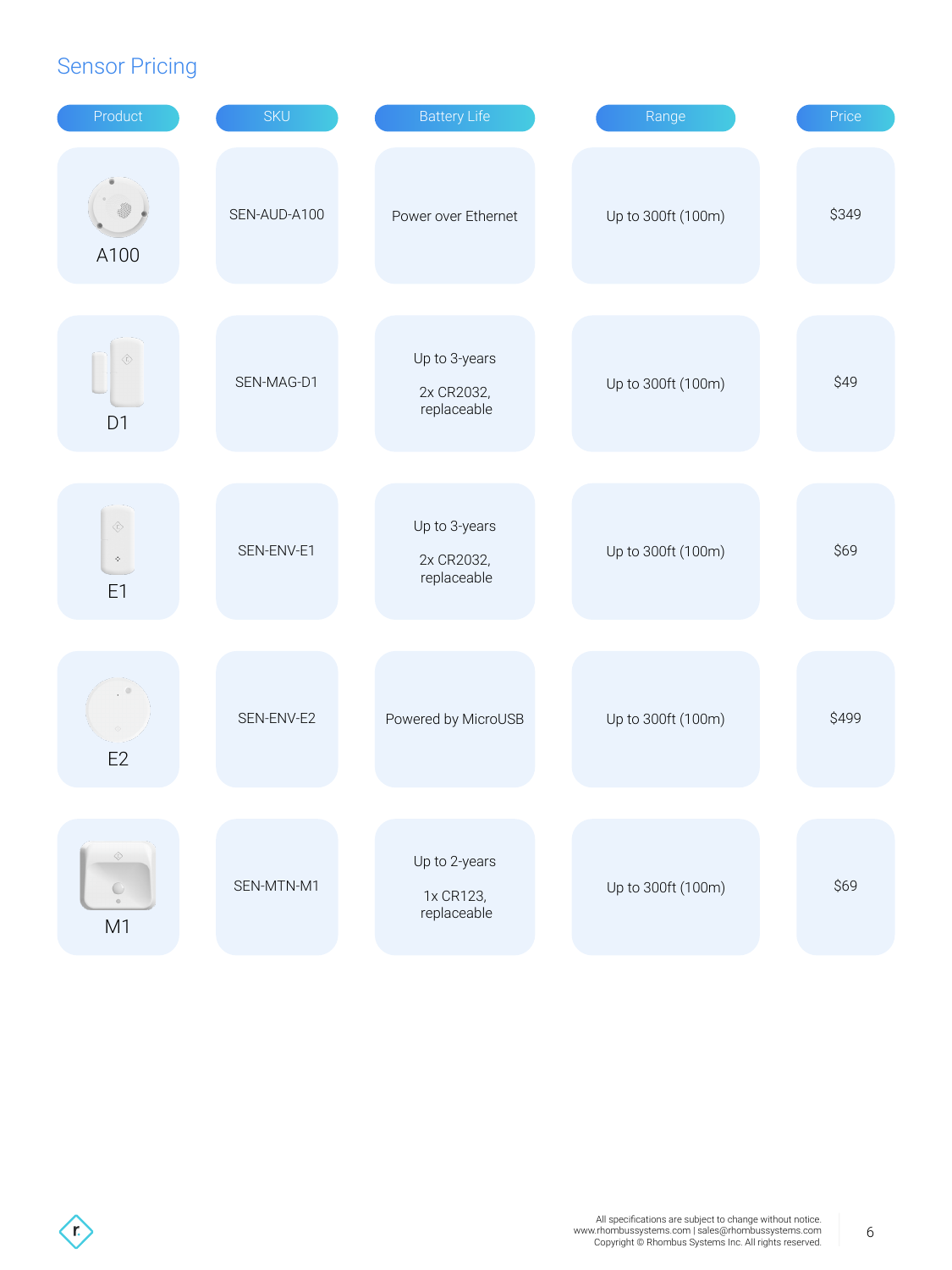#### Sensor Pricing

| Product                                               | <b>SKU</b>   | <b>Battery Life</b>                        | Range              | Price |
|-------------------------------------------------------|--------------|--------------------------------------------|--------------------|-------|
| A100                                                  | SEN-AUD-A100 | Power over Ethernet                        | Up to 300ft (100m) | \$349 |
| $\langle r \rangle$<br>D <sub>1</sub>                 | SEN-MAG-D1   | Up to 3-years<br>2x CR2032,<br>replaceable | Up to 300ft (100m) | \$49  |
| $\langle \hat{r} \rangle$<br>$\Phi$<br>E <sub>1</sub> | SEN-ENV-E1   | Up to 3-years<br>2x CR2032,<br>replaceable | Up to 300ft (100m) | \$69  |
| E2                                                    | SEN-ENV-E2   | Powered by MicroUSB                        | Up to 300ft (100m) | \$499 |
| $\Diamond$<br>U<br>$_{\odot}$<br>M <sub>1</sub>       | SEN-MTN-M1   | Up to 2-years<br>1x CR123,<br>replaceable  | Up to 300ft (100m) | \$69  |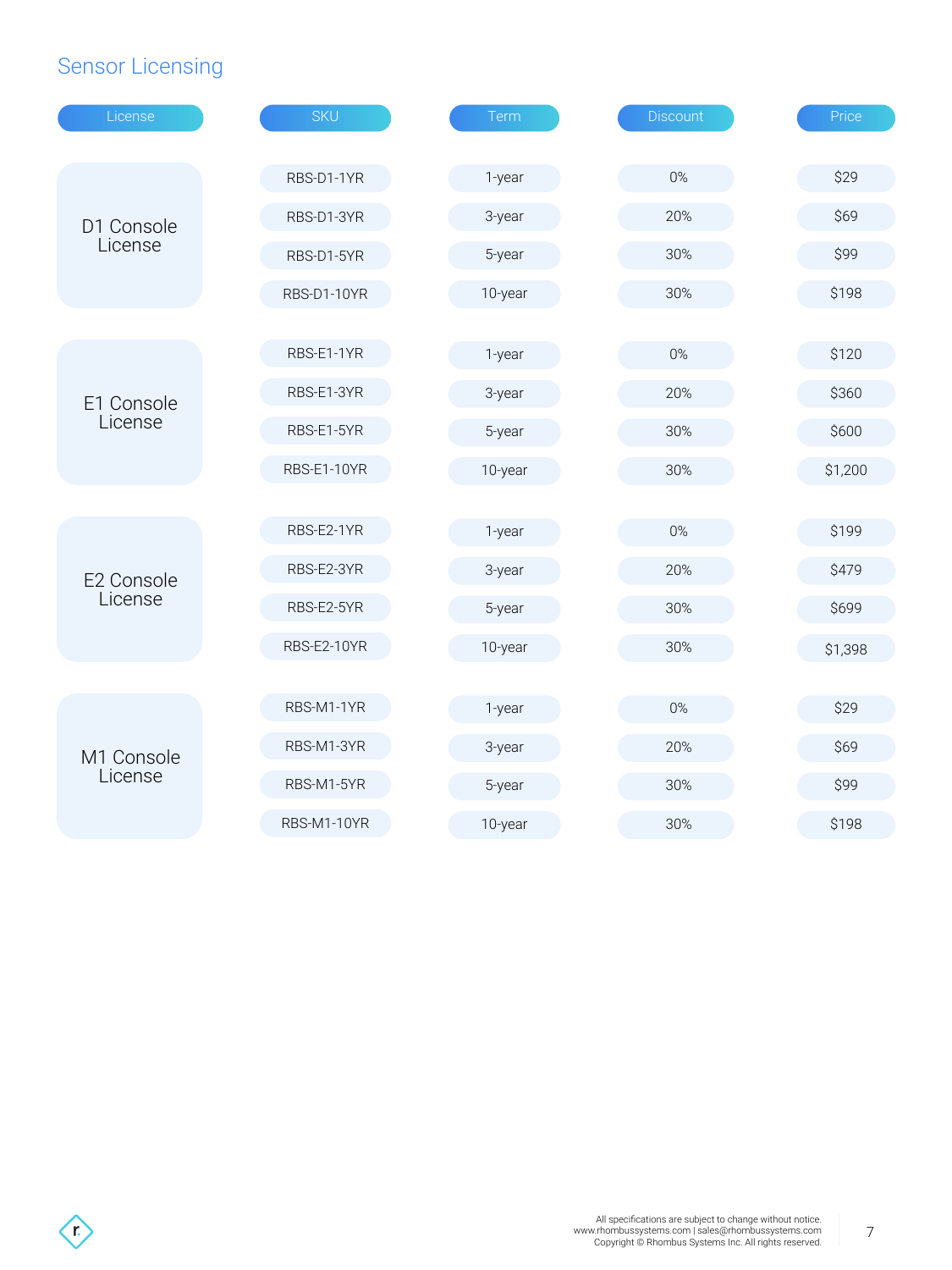## Sensor Licensing

| License    | <b>SKU</b>  | Term    | <b>Discount</b> | Price   |
|------------|-------------|---------|-----------------|---------|
|            | RBS-D1-1YR  |         | $0\%$           | \$29    |
|            |             | 1-year  |                 |         |
| D1 Console | RBS-D1-3YR  | 3-year  | 20%             | \$69    |
| License    | RBS-D1-5YR  | 5-year  | 30%             | \$99    |
|            | RBS-D1-10YR | 10-year | 30%             | \$198   |
|            |             |         |                 |         |
|            | RBS-E1-1YR  | 1-year  | 0%              | \$120   |
| E1 Console | RBS-E1-3YR  | 3-year  | 20%             | \$360   |
| License    | RBS-E1-5YR  | 5-year  | 30%             | \$600   |
|            | RBS-E1-10YR | 10-year | 30%             | \$1,200 |
|            |             |         |                 |         |
|            | RBS-E2-1YR  | 1-year  | 0%              | \$199   |
| E2 Console | RBS-E2-3YR  | 3-year  | 20%             | \$479   |
| License    | RBS-E2-5YR  | 5-year  | 30%             | \$699   |
|            | RBS-E2-10YR | 10-year | 30%             | \$1,398 |
|            |             |         |                 |         |
|            | RBS-M1-1YR  | 1-year  | 0%              | \$29    |
| M1 Console | RBS-M1-3YR  | 3-year  | 20%             | \$69    |
| License    | RBS-M1-5YR  | 5-year  | 30%             | \$99    |
|            | RBS-M1-10YR | 10-year | 30%             | \$198   |